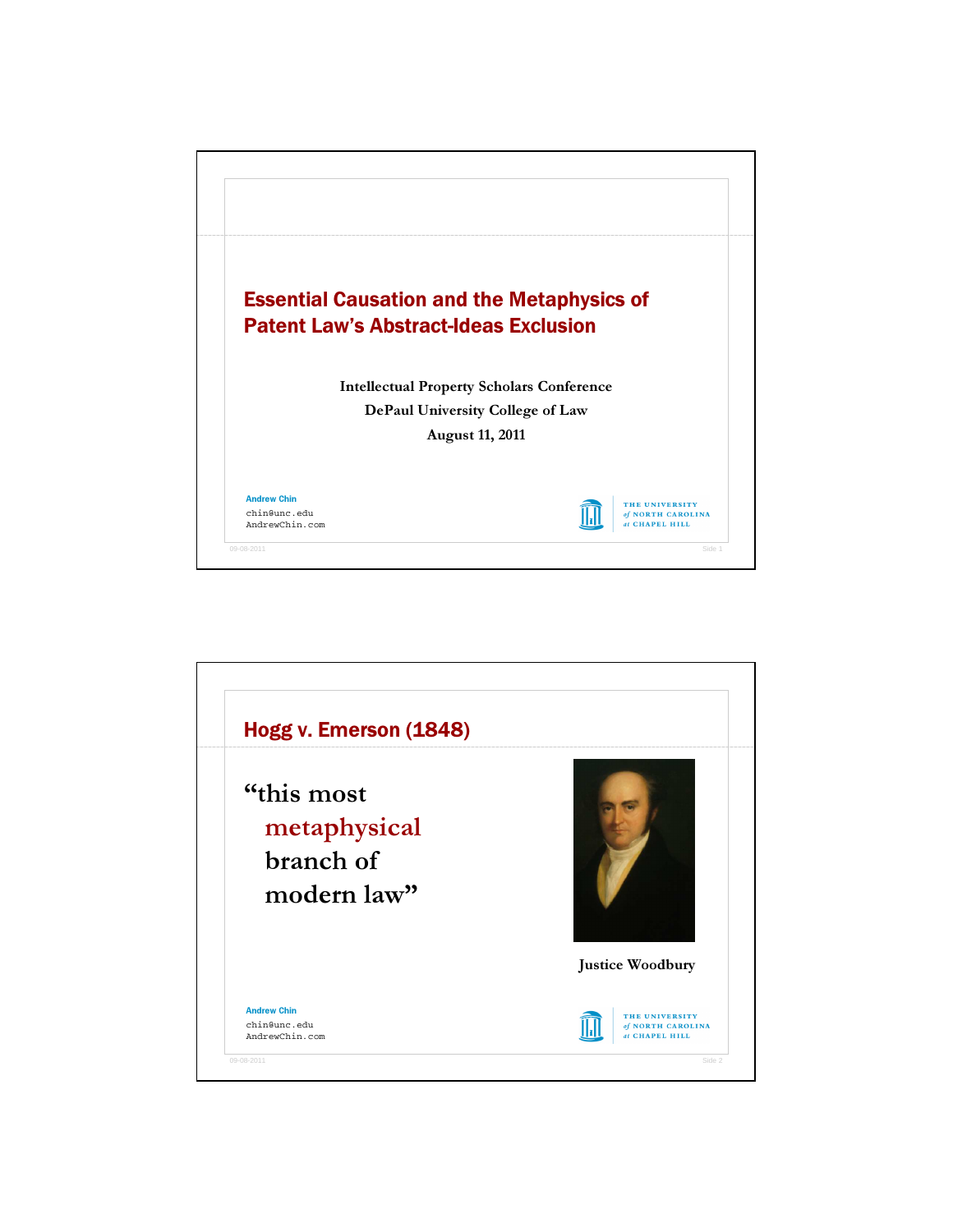

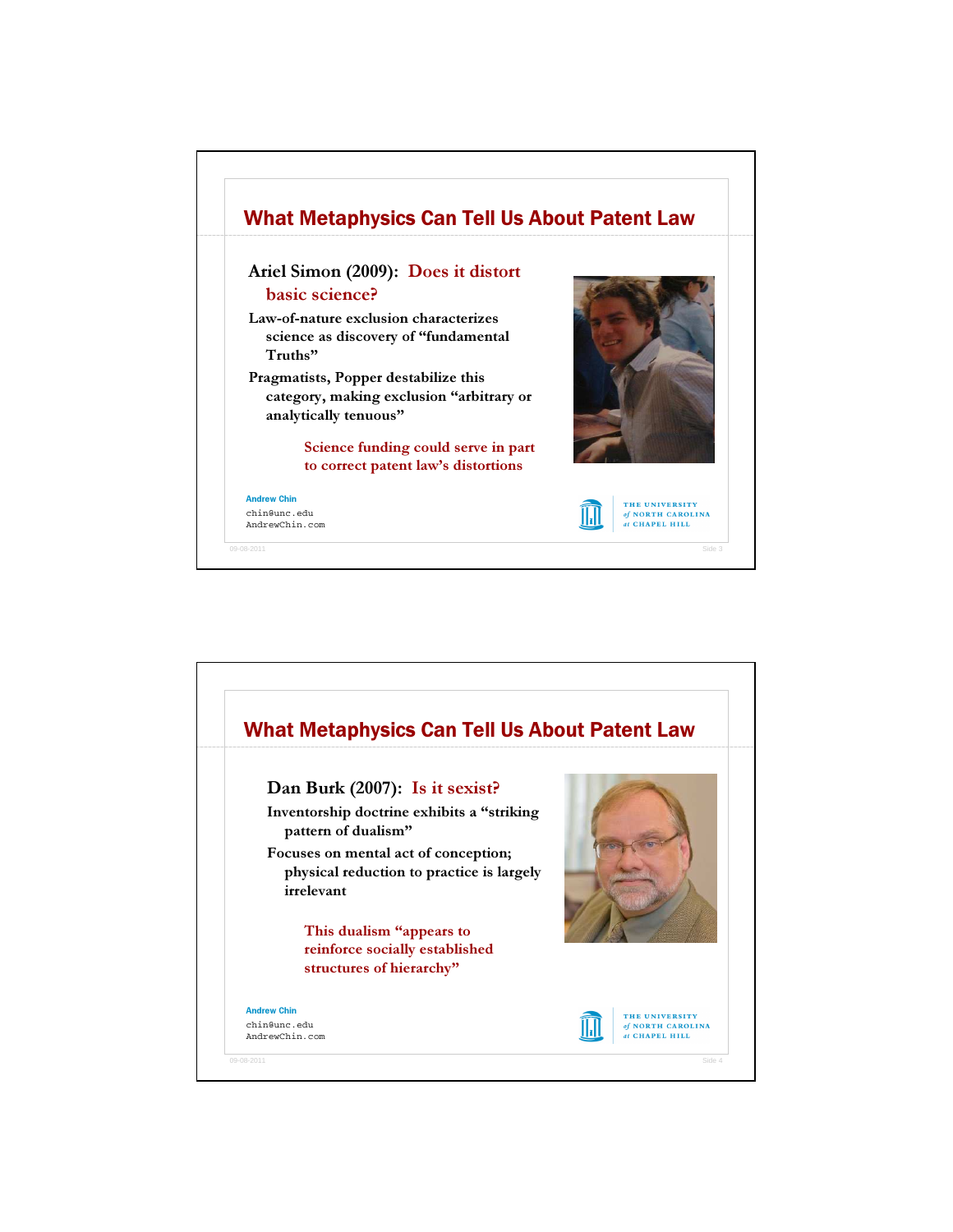

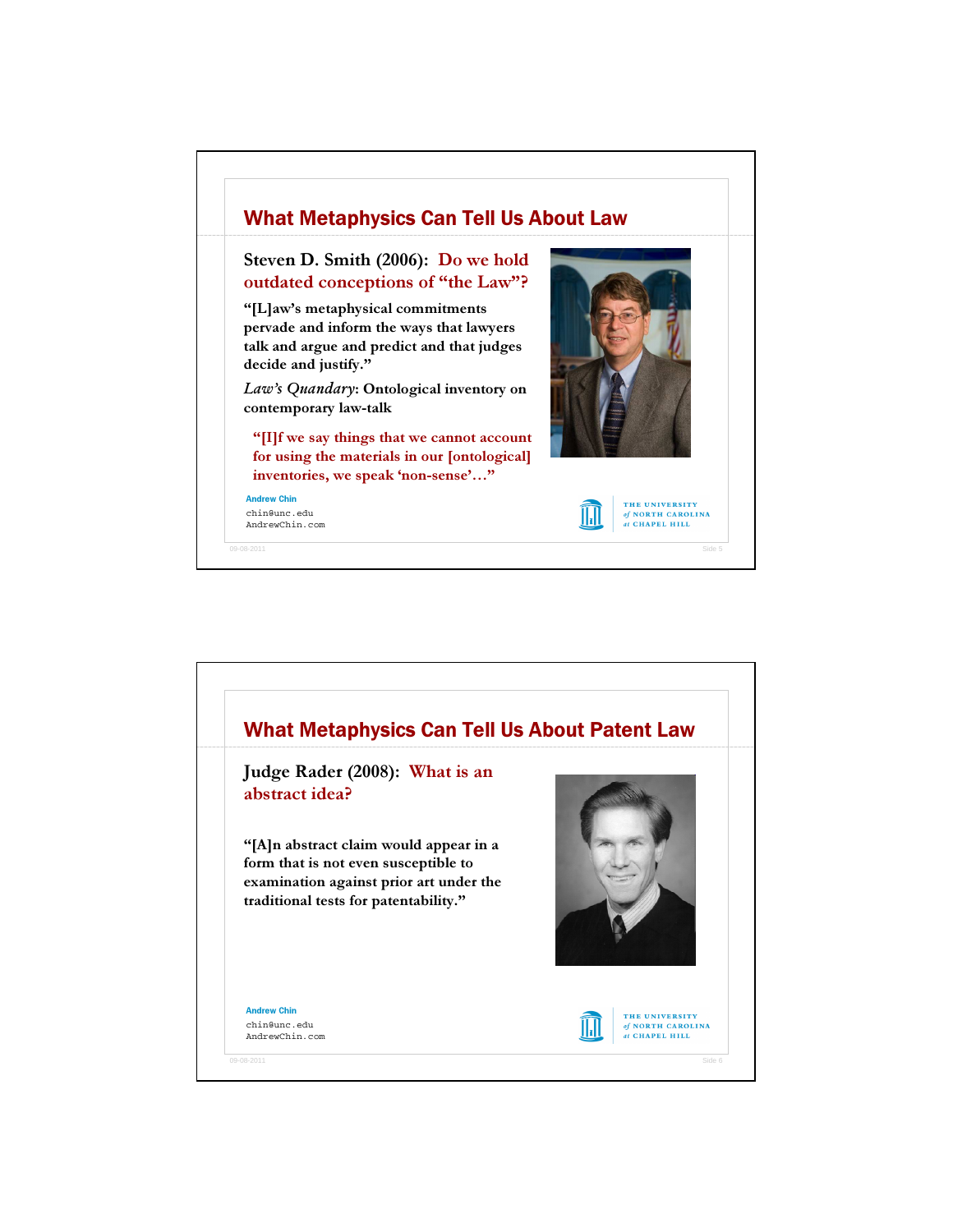

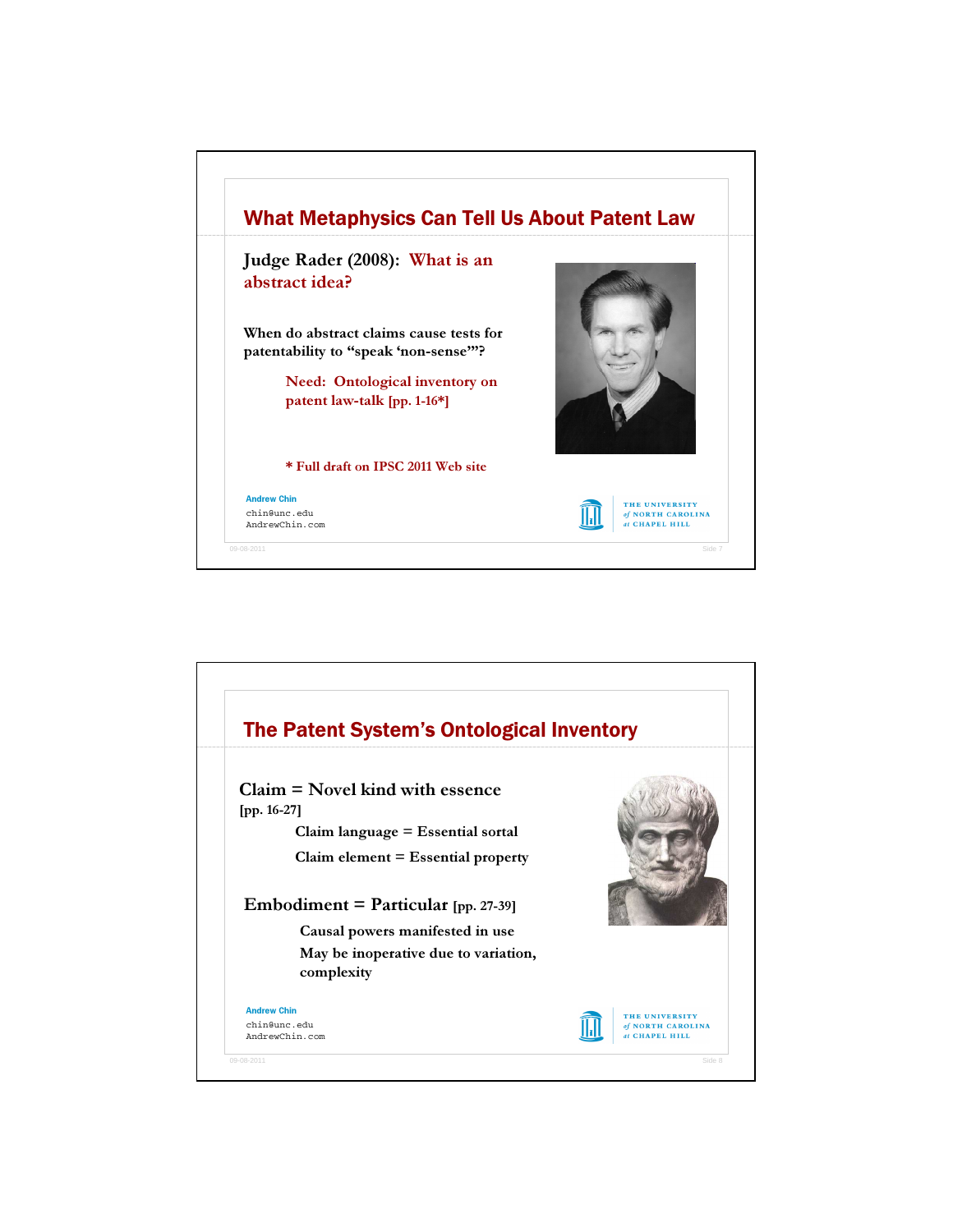

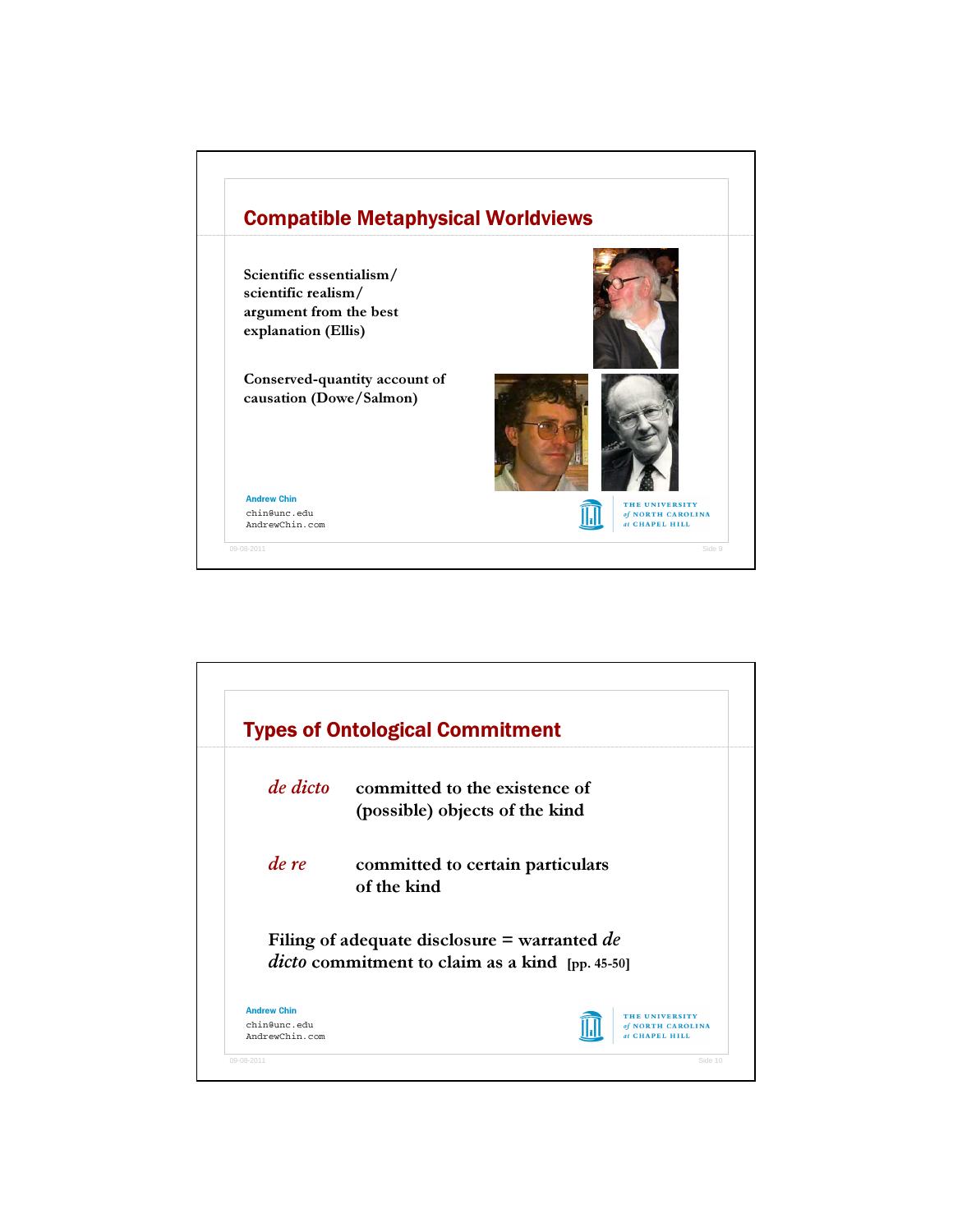

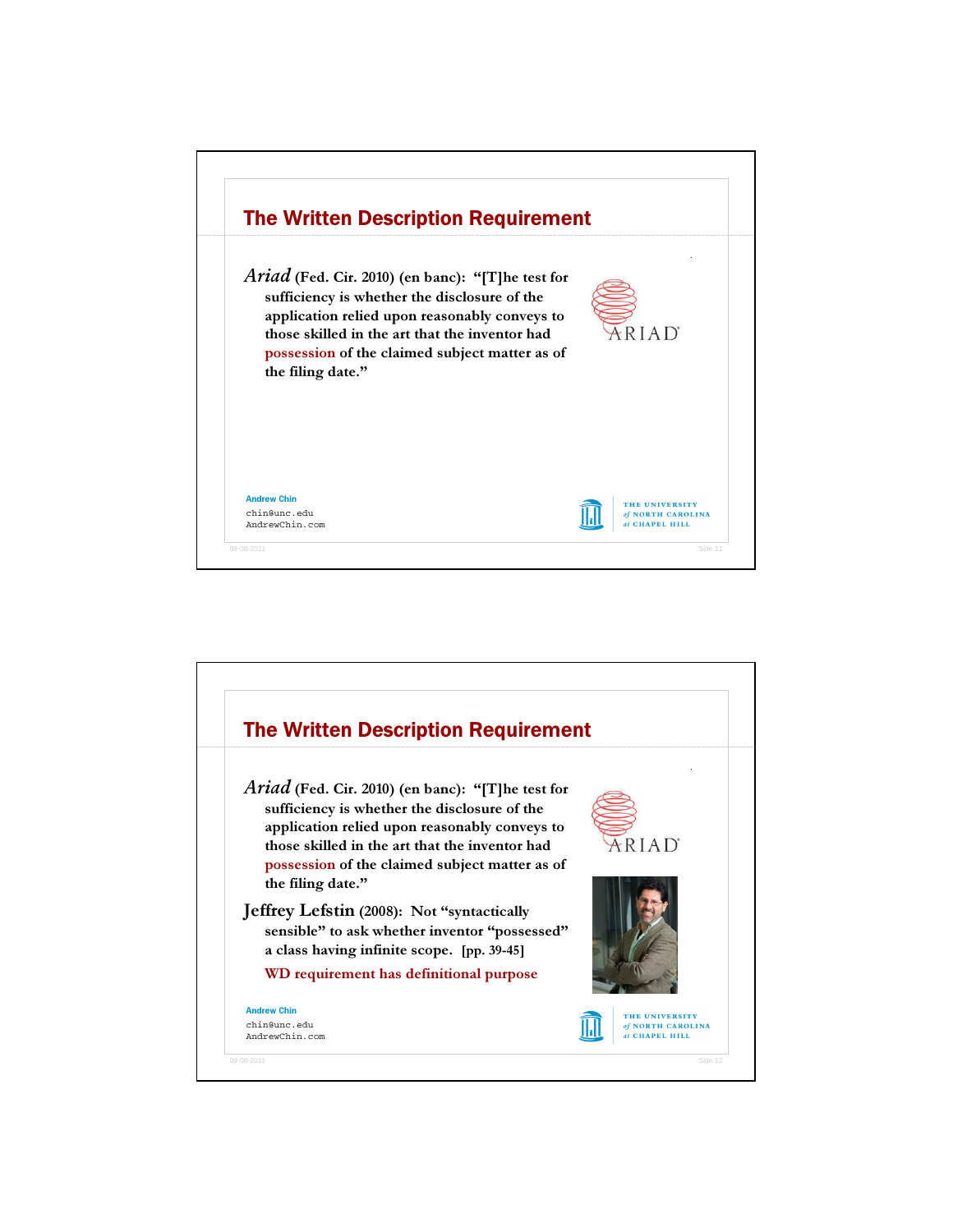

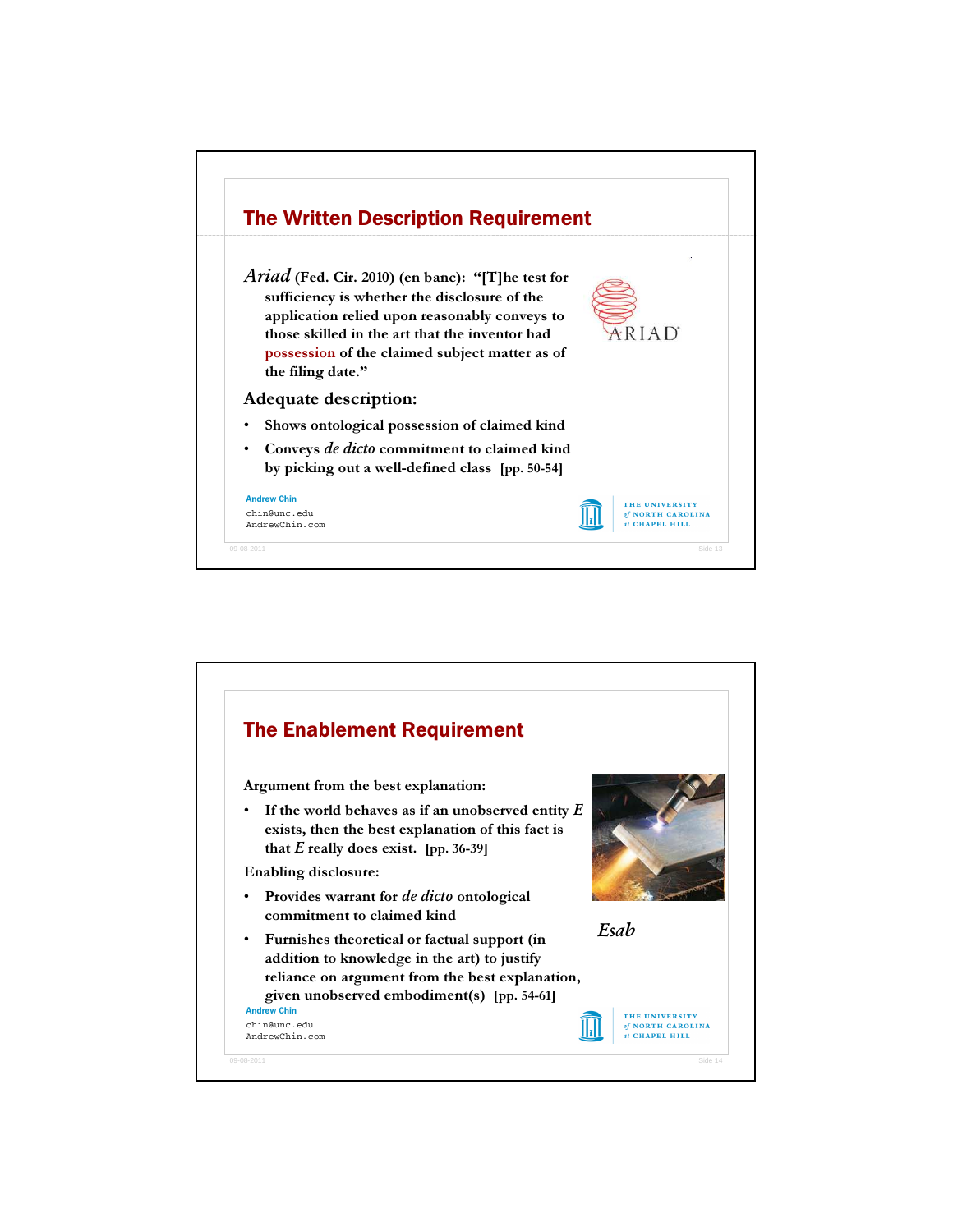

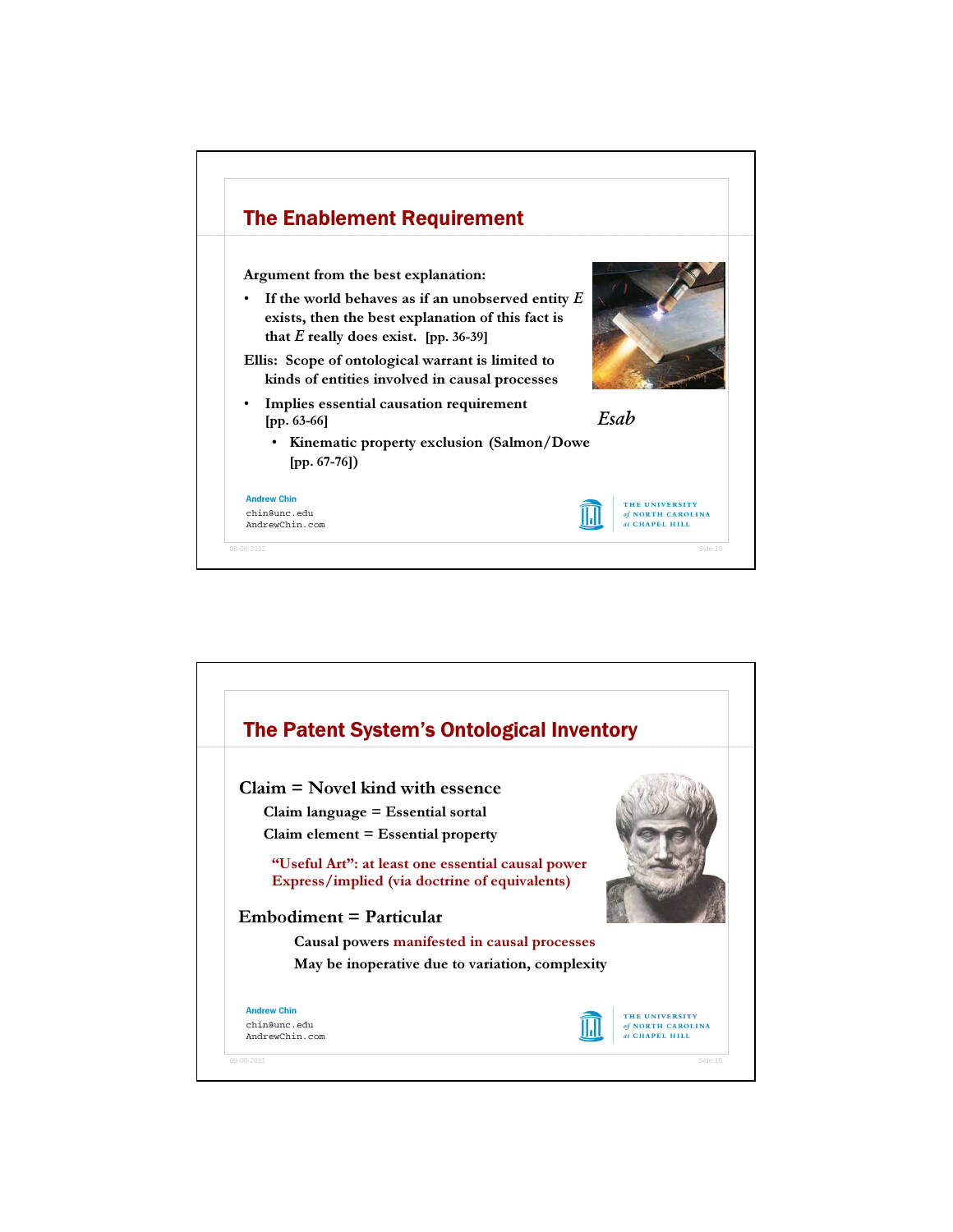

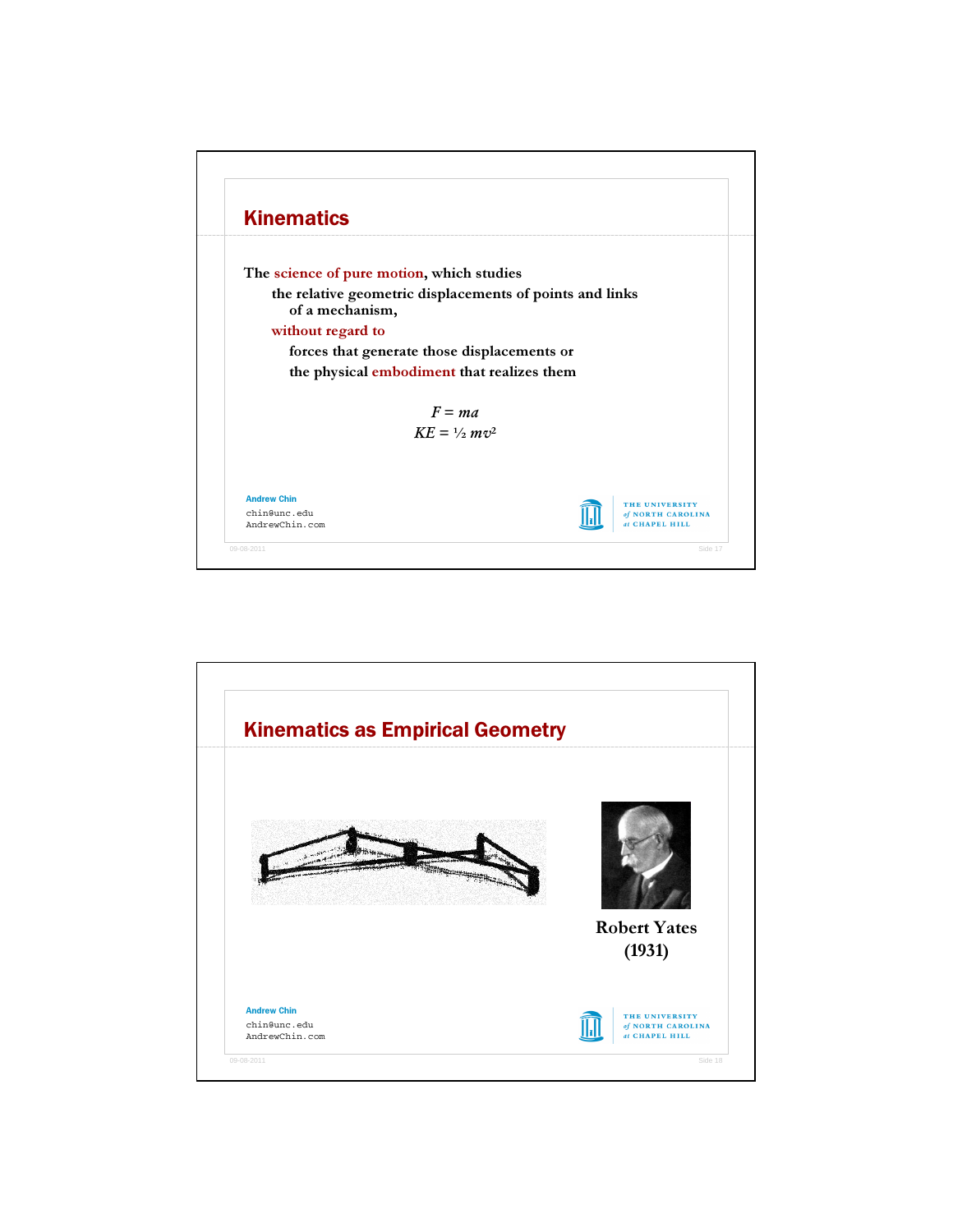

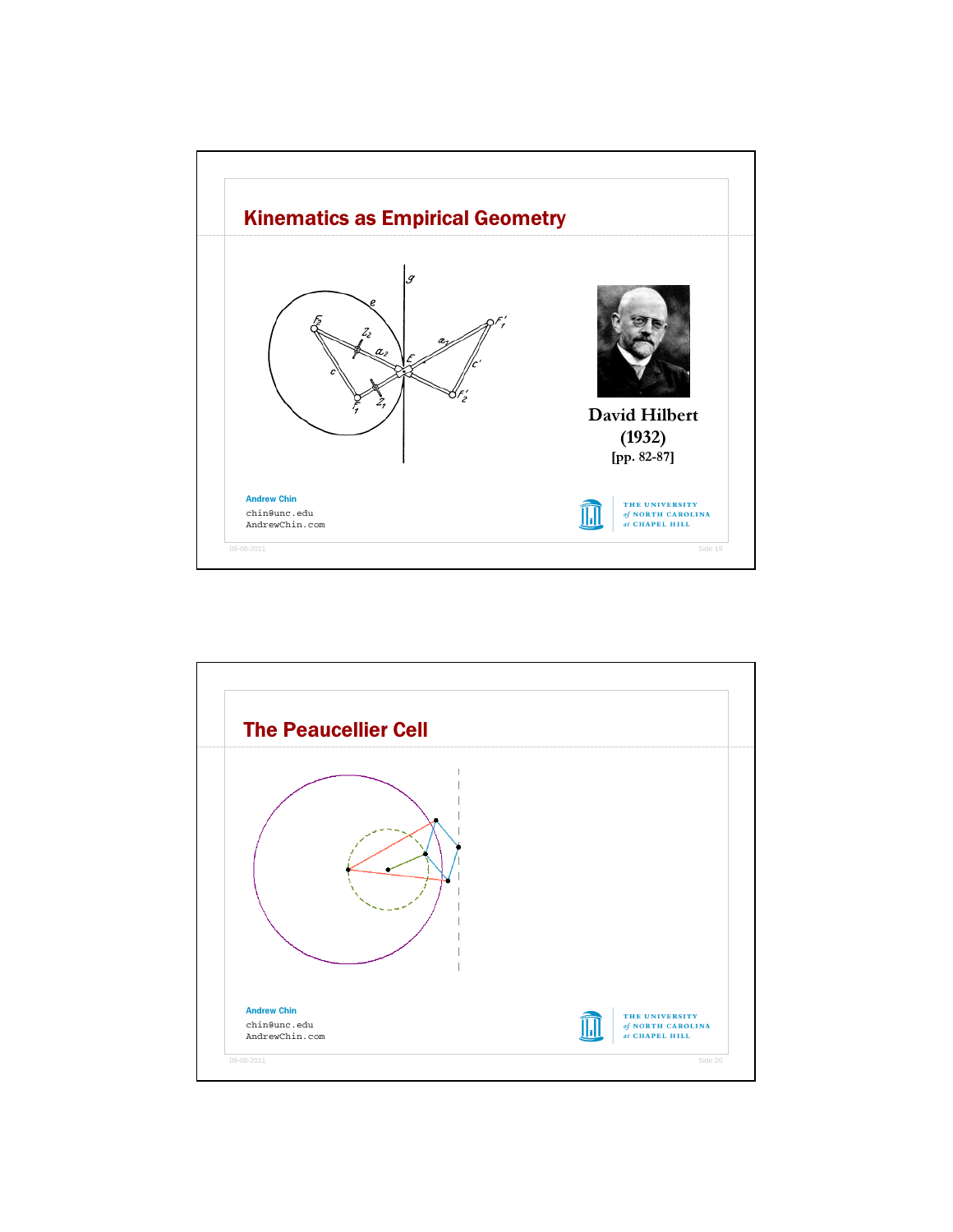

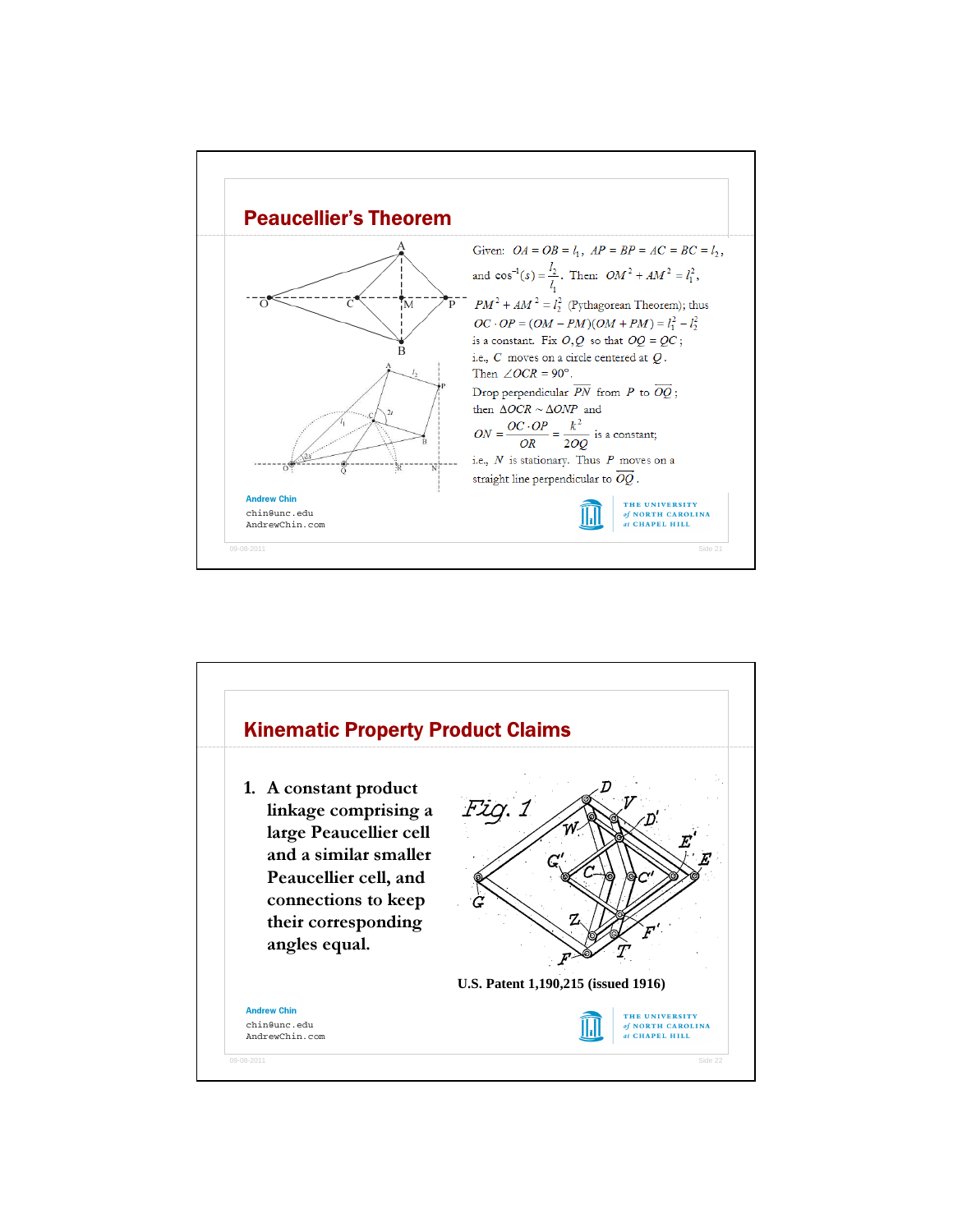

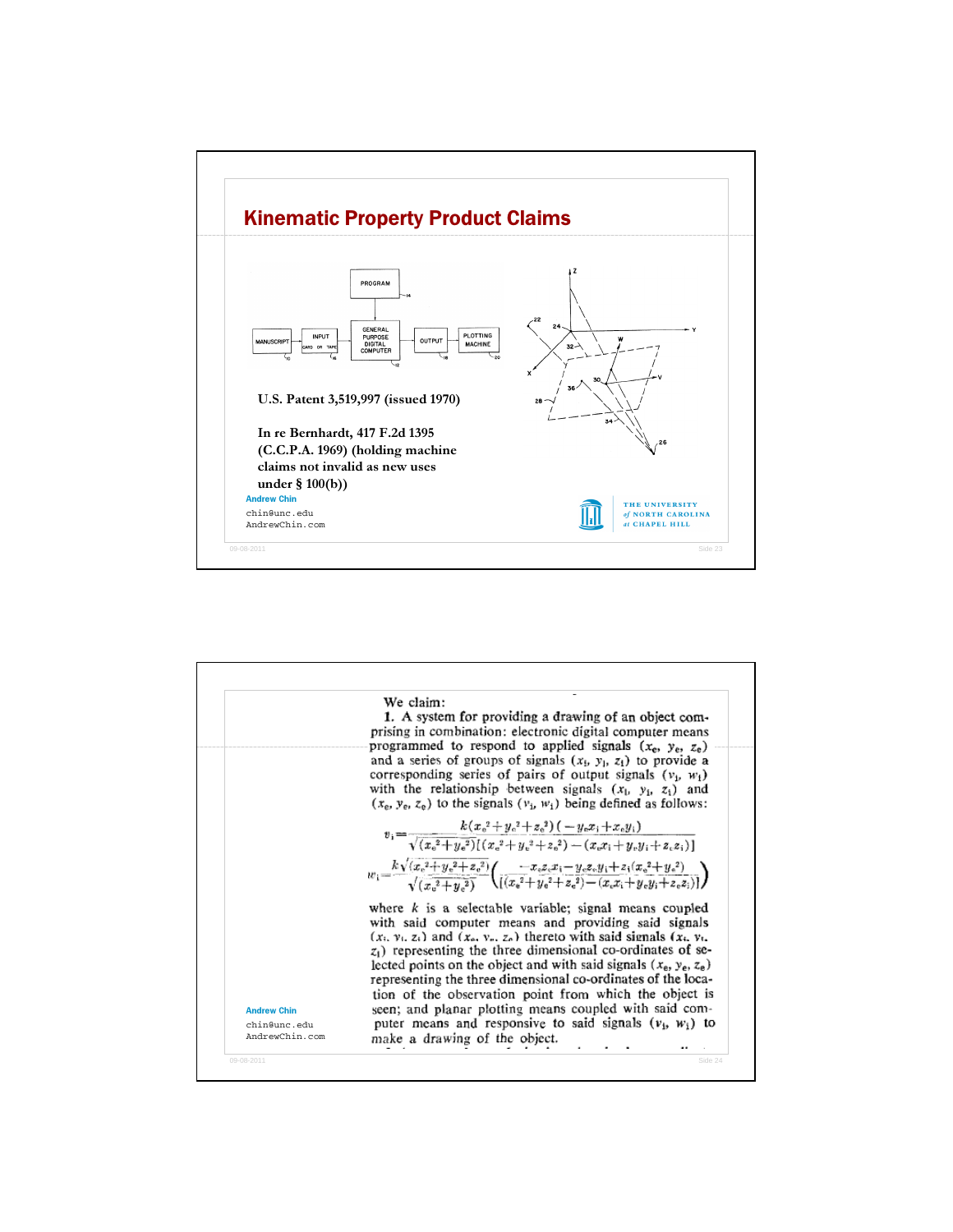

| <b>Andrew Chin</b><br>chin@unc.edu<br>AndrewChin.com | We claim:<br>1. A system for providing a drawing of an object com-<br>prising in combination: electronic digital computer means<br>programmed to respond to applied signals $(x_e, y_e, z_e)$<br>and a series of groups of signals $(x_1, y_1, z_1)$ to provide a<br>corresponding series of pairs of output signals $(v_1, w_1)$<br>with the relationship between signals $(x_1, y_1, z_1)$ and<br>$(x_e, y_e, z_e)$ to the signals $(y_i, w_i)$ being defined as follows:                                                                                                                                                     |
|------------------------------------------------------|---------------------------------------------------------------------------------------------------------------------------------------------------------------------------------------------------------------------------------------------------------------------------------------------------------------------------------------------------------------------------------------------------------------------------------------------------------------------------------------------------------------------------------------------------------------------------------------------------------------------------------|
|                                                      | $v_i = \frac{k(x_0^2 + y_0^2 + z_0^2) (-y_0x_1 + x_0y_1)}{\sqrt{(x_0^2 + y_0^2)}[(x_0^2 + y_0^2 + z_0^2) - (x_0x_1 + y_0y_1 + z_0z_1)]}$<br>$w_1 = \frac{k\sqrt{(x_c^2 + y_c^2 + z_c^2)}}{\sqrt{(x_c^2 + y_c^2)}} \left( \frac{-x_c z_c x_i - y_c z_c y_i + z_i (x_c^2 + y_c^2)}{\left[\left(x_c^2 + y_c^2 + z_c^2\right) - (x_c x_i + y_c y_i + z_c z_i)\right]}\right)$                                                                                                                                                                                                                                                       |
|                                                      | where $k$ is a selectable variable; signal means coupled<br>with said computer means and providing said signals<br>$(x_i, y_i, z_i)$ and $(x_i, y_i, z_i)$ thereto with said signals $(x_i, y_i)$ .<br>$z_1$ ) representing the three dimensional co-ordinates of se-<br>lected points on the object and with said signals $(x_e, y_e, z_e)$<br>representing the three dimensional co-ordinates of the loca-<br>tion of the observation point from which the object is<br>seen; and planar plotting means coupled with said com-<br>puter means and responsive to said signals $(v_1, w_1)$ to<br>make a drawing of the object. |